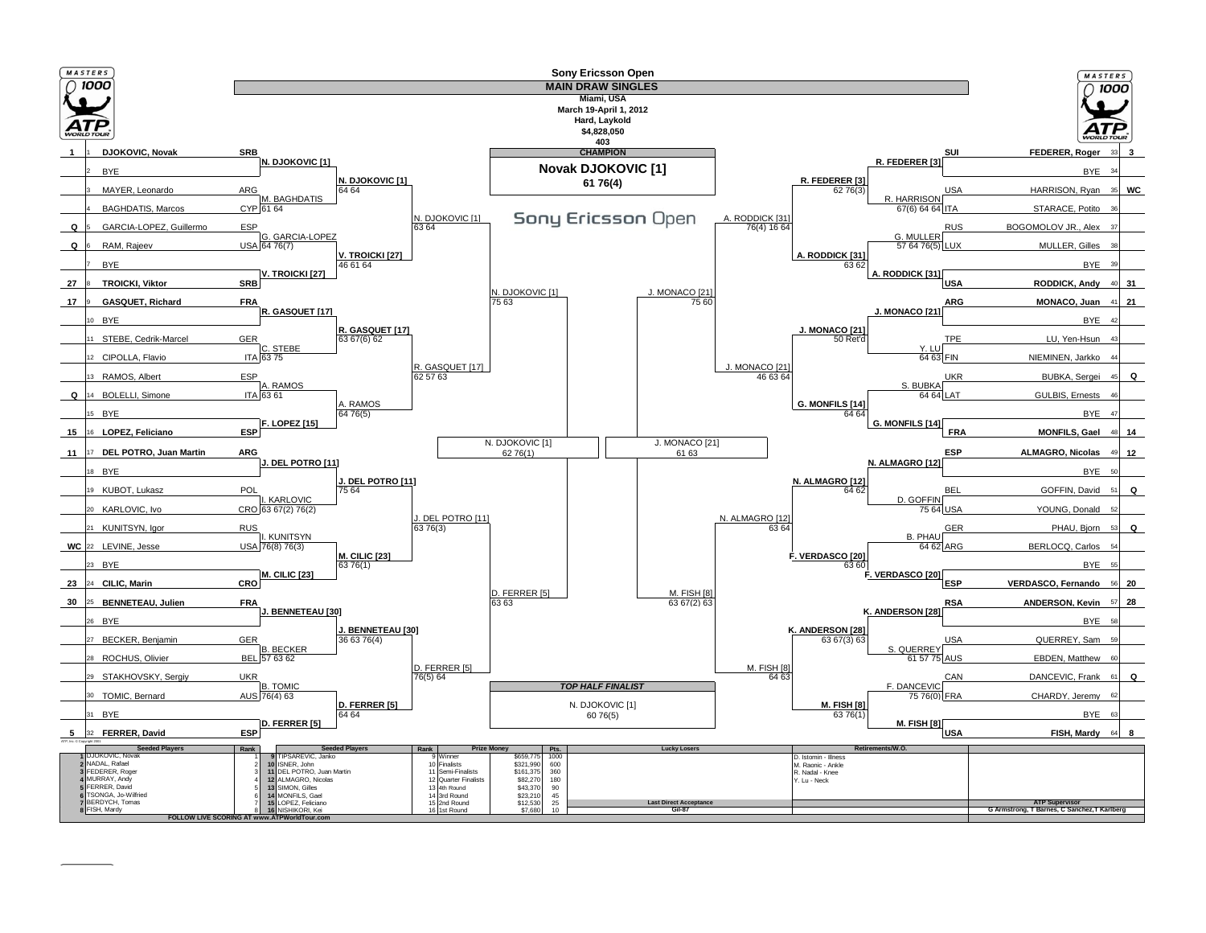